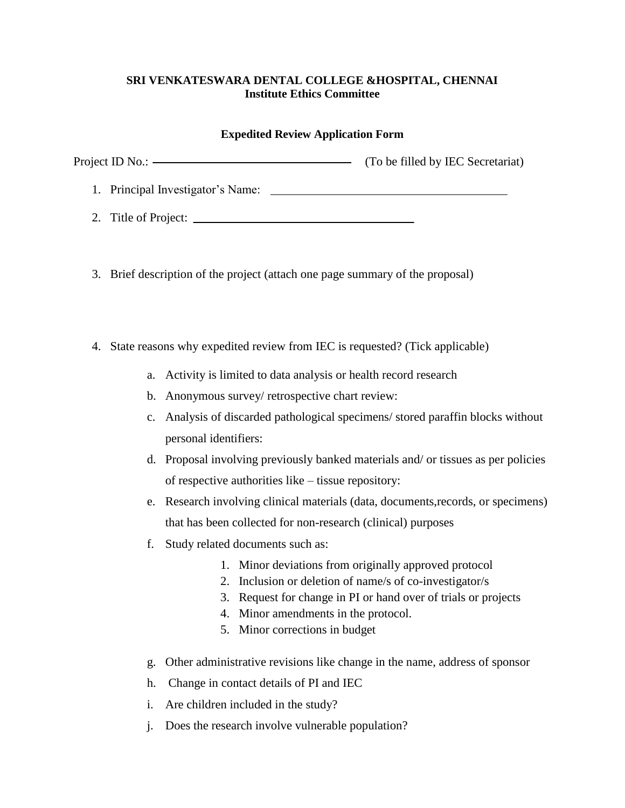## **SRI VENKATESWARA DENTAL COLLEGE &HOSPITAL, CHENNAI Institute Ethics Committee**

## **Expedited Review Application Form**

| Project ID No.: ———————————————————— | (To be filled by IEC Secretariat) |
|--------------------------------------|-----------------------------------|
| 1. Principal Investigator's Name:    |                                   |
| 2. Title of Project:                 |                                   |

- 3. Brief description of the project (attach one page summary of the proposal)
- 4. State reasons why expedited review from IEC is requested? (Tick applicable)
	- a. Activity is limited to data analysis or health record research
	- b. Anonymous survey/ retrospective chart review:
	- c. Analysis of discarded pathological specimens/ stored paraffin blocks without personal identifiers:
	- d. Proposal involving previously banked materials and/ or tissues as per policies of respective authorities like – tissue repository:
	- e. Research involving clinical materials (data, documents,records, or specimens) that has been collected for non-research (clinical) purposes
	- f. Study related documents such as:
		- 1. Minor deviations from originally approved protocol
		- 2. Inclusion or deletion of name/s of co-investigator/s
		- 3. Request for change in PI or hand over of trials or projects
		- 4. Minor amendments in the protocol.
		- 5. Minor corrections in budget
	- g. Other administrative revisions like change in the name, address of sponsor
	- h. Change in contact details of PI and IEC
	- i. Are children included in the study?
	- j. Does the research involve vulnerable population?